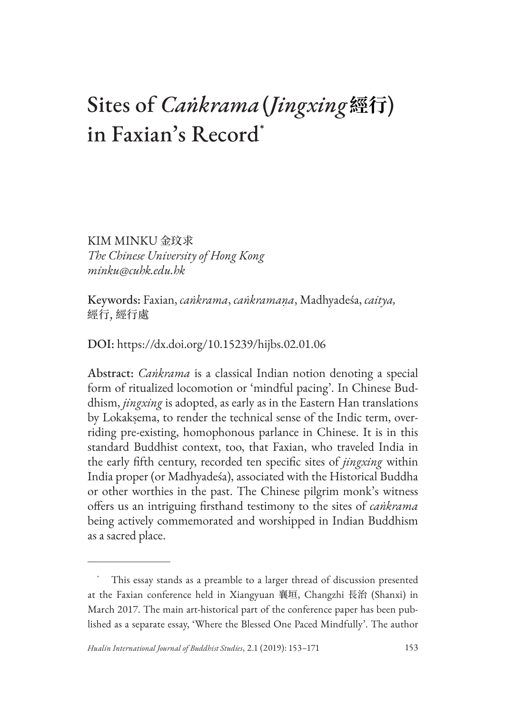# Sites of *Caṅkrama*(*Jingxing***經行**) in Faxian's Record\*

KIM MINKU 金玟求 *The Chinese University of Hong Kong minku@cuhk.edu.hk*

Keywords: Faxian, *caṅkrama*, *caṅkramaṇa*, Madhyadeśa, *caitya,*  經行, 經行處

DOI: https://dx.doi.org/10.15239/hijbs.02.01.06

Abstract: *Caṅkrama* is a classical Indian notion denoting a special form of ritualized locomotion or 'mindful pacing'. In Chinese Buddhism, *jingxing* is adopted, as early as in the Eastern Han translations by Lokakṣema, to render the technical sense of the Indic term, overriding pre-existing, homophonous parlance in Chinese. It is in this standard Buddhist context, too, that Faxian, who traveled India in the early fifth century, recorded ten specific sites of *jingxing* within India proper (or Madhyadeśa), associated with the Historical Buddha or other worthies in the past. The Chinese pilgrim monk's witness offers us an intriguing firsthand testimony to the sites of *caṅkrama* being actively commemorated and worshipped in Indian Buddhism as a sacred place.

This essay stands as a preamble to a larger thread of discussion presented at the Faxian conference held in Xiangyuan 襄垣, Changzhi 長治 (Shanxi) in March 2017. The main art-historical part of the conference paper has been published as a separate essay, 'Where the Blessed One Paced Mindfully'. The author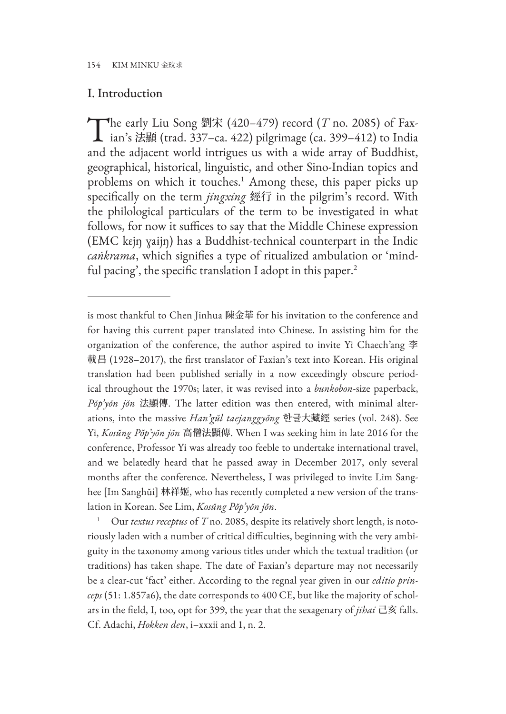#### I. Introduction

The early Liu Song 劉宋 (420–479) record (*T* no. 2085) of Fax-<br>
ian's 法顯 (trad. 337–ca. 422) pilgrimage (ca. 399–412) to India and the adjacent world intrigues us with a wide array of Buddhist, geographical, historical, linguistic, and other Sino-Indian topics and problems on which it touches.<sup>1</sup> Among these, this paper picks up specifically on the term *jingxing* 經行 in the pilgrim's record. With the philological particulars of the term to be investigated in what follows, for now it suffices to say that the Middle Chinese expression (EMC kɛjŋ ɣaɨjŋ) has a Buddhist-technical counterpart in the Indic *caṅkrama*, which signifies a type of ritualized ambulation or 'mindful pacing', the specific translation I adopt in this paper.<sup>2</sup>

is most thankful to Chen Jinhua 陳金華 for his invitation to the conference and for having this current paper translated into Chinese. In assisting him for the organization of the conference, the author aspired to invite Yi Chaech'ang 李 載昌 (1928–2017), the first translator of Faxian's text into Korean. His original translation had been published serially in a now exceedingly obscure periodical throughout the 1970s; later, it was revised into a *bunkobon*-size paperback, *Pŏp'yŏn jŏn* 法顯傳. The latter edition was then entered, with minimal alterations, into the massive *Han'gŭl taejanggyŏng* 한글大藏經 series (vol. 248). See Yi, *Kosŭng Pŏp'yŏn jŏn* 高僧法顯傳. When I was seeking him in late 2016 for the conference, Professor Yi was already too feeble to undertake international travel, and we belatedly heard that he passed away in December 2017, only several months after the conference. Nevertheless, I was privileged to invite Lim Sanghee [Im Sanghŭi] 林祥姬, who has recently completed a new version of the translation in Korean. See Lim, *Kosŭng Pŏp'yŏn jŏn*.

<sup>1</sup> Our *textus receptus* of *T* no. 2085, despite its relatively short length, is notoriously laden with a number of critical difficulties, beginning with the very ambiguity in the taxonomy among various titles under which the textual tradition (or traditions) has taken shape. The date of Faxian's departure may not necessarily be a clear-cut 'fact' either. According to the regnal year given in our *editio princeps* (51: 1.857a6), the date corresponds to 400 CE, but like the majority of scholars in the field, I, too, opt for 399, the year that the sexagenary of *jihai* 己亥 falls. Cf. Adachi, *Hokken den*, i–xxxii and 1, n. 2.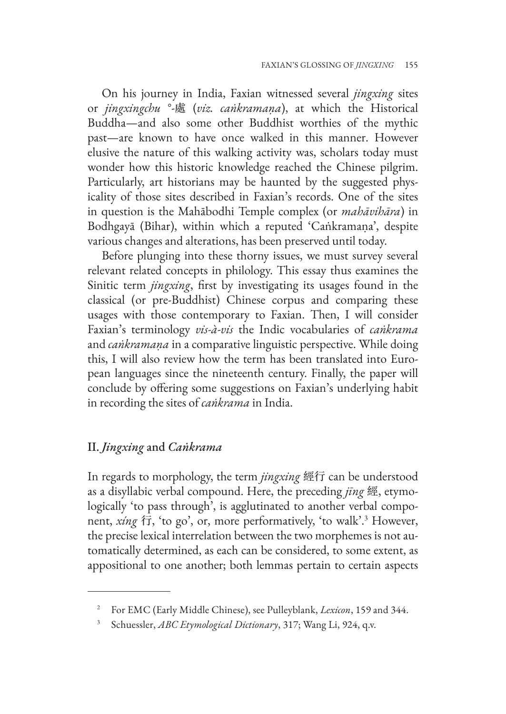On his journey in India, Faxian witnessed several *jingxing* sites or *jingxingchu* °-處 (*viz. caṅkramaṇa*), at which the Historical Buddha—and also some other Buddhist worthies of the mythic past—are known to have once walked in this manner. However elusive the nature of this walking activity was, scholars today must wonder how this historic knowledge reached the Chinese pilgrim. Particularly, art historians may be haunted by the suggested physicality of those sites described in Faxian's records. One of the sites in question is the Mahābodhi Temple complex (or *mahāvihāra*) in Bodhgayā (Bihar), within which a reputed 'Caṅkramaṇa', despite various changes and alterations, has been preserved until today.

Before plunging into these thorny issues, we must survey several relevant related concepts in philology. This essay thus examines the Sinitic term *jingxing*, first by investigating its usages found in the classical (or pre-Buddhist) Chinese corpus and comparing these usages with those contemporary to Faxian. Then, I will consider Faxian's terminology *vis-à-vis* the Indic vocabularies of *caṅkrama* and *caṅkramaṇa* in a comparative linguistic perspective. While doing this, I will also review how the term has been translated into European languages since the nineteenth century. Finally, the paper will conclude by offering some suggestions on Faxian's underlying habit in recording the sites of *caṅkrama* in India.

## II. *Jingxing* and *Caṅkrama*

In regards to morphology, the term *jingxing* 經行 can be understood as a disyllabic verbal compound. Here, the preceding *jīng* 經, etymologically 'to pass through', is agglutinated to another verbal component, *xíng* 行, 'to go', or, more performatively, 'to walk'.3 However, the precise lexical interrelation between the two morphemes is not automatically determined, as each can be considered, to some extent, as appositional to one another; both lemmas pertain to certain aspects

<sup>2</sup> For EMC (Early Middle Chinese), see Pulleyblank, *Lexicon*, 159 and 344.

<sup>3</sup> Schuessler, *ABC Etymological Dictionary*, 317; Wang Li, 924, q.v.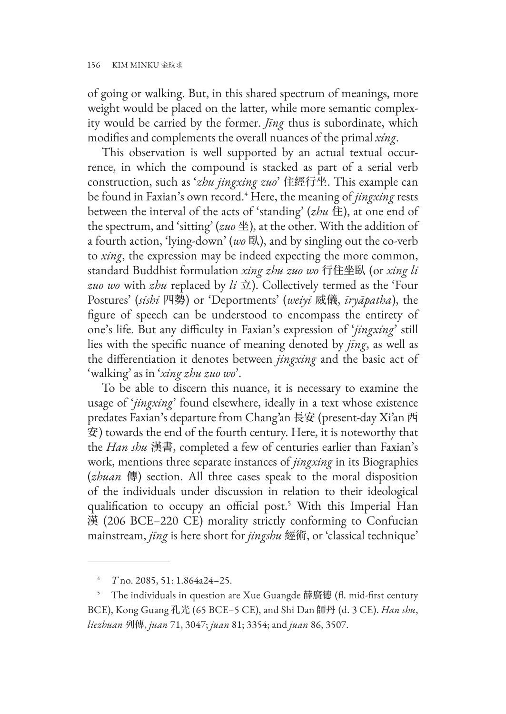of going or walking. But, in this shared spectrum of meanings, more weight would be placed on the latter, while more semantic complexity would be carried by the former. *Jīng* thus is subordinate, which modifies and complements the overall nuances of the primal *xíng*.

This observation is well supported by an actual textual occurrence, in which the compound is stacked as part of a serial verb construction, such as '*zhu jingxing zuo*' 住經行坐. This example can be found in Faxian's own record.4 Here, the meaning of *jingxing* rests between the interval of the acts of 'standing' (*zhu* 住), at one end of the spectrum, and 'sitting' (*zuo* 坐), at the other. With the addition of a fourth action, 'lying-down' (*wo* 臥), and by singling out the co-verb to *xing*, the expression may be indeed expecting the more common, standard Buddhist formulation *xing zhu zuo wo* 行住坐臥 (or *xing li zuo wo* with *zhu* replaced by *li* 立). Collectively termed as the 'Four Postures' (*sishi* 四勢) or 'Deportments' (*weiyi* 威儀, *īryāpatha*), the figure of speech can be understood to encompass the entirety of one's life. But any difficulty in Faxian's expression of '*jingxing*' still lies with the specific nuance of meaning denoted by *jīng*, as well as the differentiation it denotes between *jingxing* and the basic act of 'walking' as in '*xing zhu zuo wo*'.

To be able to discern this nuance, it is necessary to examine the usage of '*jingxing*' found elsewhere, ideally in a text whose existence predates Faxian's departure from Chang'an 長安 (present-day Xi'an 西 安) towards the end of the fourth century. Here, it is noteworthy that the *Han shu* 漢書, completed a few of centuries earlier than Faxian's work, mentions three separate instances of *jingxing* in its Biographies (*zhuan* 傳) section. All three cases speak to the moral disposition of the individuals under discussion in relation to their ideological qualification to occupy an official post.<sup>5</sup> With this Imperial Han 漢 (206 BCE–220 CE) morality strictly conforming to Confucian mainstream, *jīng* is here short for *jingshu* 經術, or 'classical technique'

<sup>4</sup> *T* no. 2085, 51: 1.864a24–25.

<sup>5</sup> The individuals in question are Xue Guangde 薛廣德 (fl. mid-first century BCE), Kong Guang 孔光 (65 BCE–5 CE), and Shi Dan 師丹 (d. 3 CE). *Han shu*, *liezhuan* 列傳, *juan* 71, 3047; *juan* 81; 3354; and *juan* 86, 3507.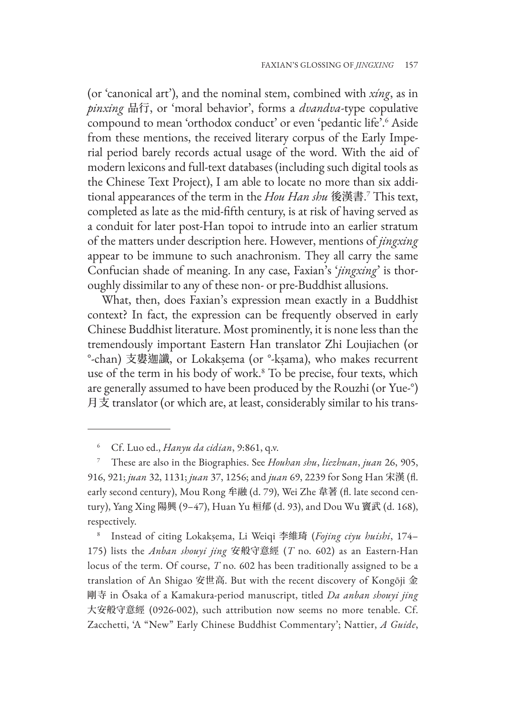(or 'canonical art'), and the nominal stem, combined with *xíng*, as in *pinxing* 品行, or 'moral behavior', forms a *dvandva*-type copulative compound to mean 'orthodox conduct' or even 'pedantic life'.6 Aside from these mentions, the received literary corpus of the Early Imperial period barely records actual usage of the word. With the aid of modern lexicons and full-text databases (including such digital tools as the Chinese Text Project), I am able to locate no more than six additional appearances of the term in the *Hou Han shu* 後漢書. 7 This text, completed as late as the mid-fifth century, is at risk of having served as a conduit for later post-Han topoi to intrude into an earlier stratum of the matters under description here. However, mentions of *jingxing* appear to be immune to such anachronism. They all carry the same Confucian shade of meaning. In any case, Faxian's '*jingxing*' is thoroughly dissimilar to any of these non- or pre-Buddhist allusions.

What, then, does Faxian's expression mean exactly in a Buddhist context? In fact, the expression can be frequently observed in early Chinese Buddhist literature. Most prominently, it is none less than the tremendously important Eastern Han translator Zhi Loujiachen (or °-chan) 支婁迦讖, or Lokakṣema (or °-kṣama), who makes recurrent use of the term in his body of work.8 To be precise, four texts, which are generally assumed to have been produced by the Rouzhi (or Yue-°) 月支 translator (or which are, at least, considerably similar to his trans-

<sup>8</sup> Instead of citing Lokakṣema, Li Weiqi 李維琦 (*Fojing ciyu huishi*, 174– 175) lists the *Anban shouyi jing* 安般守意經 (*T* no. 602) as an Eastern-Han locus of the term. Of course, *T* no. 602 has been traditionally assigned to be a translation of An Shigao 安世高. But with the recent discovery of Kongōji 金 剛寺 in Ōsaka of a Kamakura-period manuscript, titled *Da anban shouyi jing* 大安般守意經 (0926-002), such attribution now seems no more tenable. Cf. Zacchetti, 'A "New" Early Chinese Buddhist Commentary'; Nattier, *A Guide*,

<sup>6</sup> Cf. Luo ed., *Hanyu da cidian*, 9:861, q.v.

<sup>7</sup> These are also in the Biographies. See *Houhan shu*, *liezhuan*, *juan* 26, 905, 916, 921; *juan* 32, 1131; *juan* 37, 1256; and *juan* 69, 2239 for Song Han 宋漢 (fl. early second century), Mou Rong 牟融 (d. 79), Wei Zhe 韋著 (fl. late second century), Yang Xing 陽興 (9–47), Huan Yu 桓郁 (d. 93), and Dou Wu 竇武 (d. 168), respectively.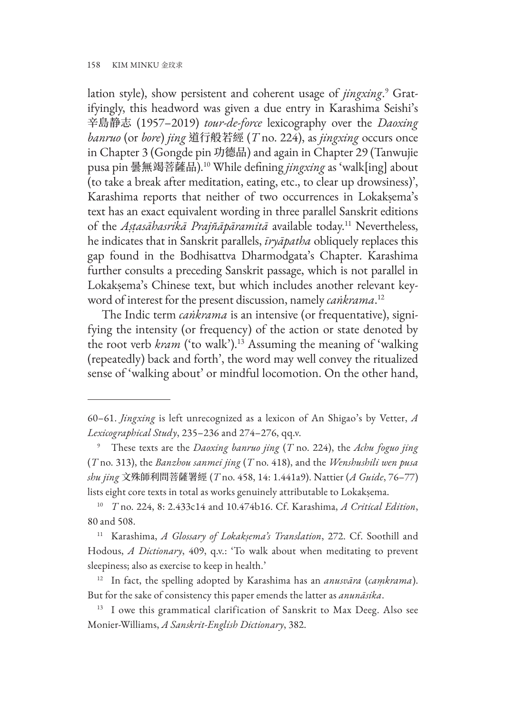lation style), show persistent and coherent usage of *jingxing.*<sup>9</sup> Gratifyingly, this headword was given a due entry in Karashima Seishi's 辛島静志 (1957–2019) *tour-de-force* lexicography over the *Daoxing banruo* (or *bore*) *jing* 道行般若經 (*T* no. 224), as *jingxing* occurs once in Chapter 3 (Gongde pin 功德品) and again in Chapter 29 (Tanwujie pusa pin 曇無竭菩薩品).10 While defining *jingxing* as 'walk[ing] about (to take a break after meditation, eating, etc., to clear up drowsiness)', Karashima reports that neither of two occurrences in Lokakṣema's text has an exact equivalent wording in three parallel Sanskrit editions of the *Aṣṭasāhasrikā Prajñāpāramitā* available today.11 Nevertheless, he indicates that in Sanskrit parallels, *īryāpatha* obliquely replaces this gap found in the Bodhisattva Dharmodgata's Chapter. Karashima further consults a preceding Sanskrit passage, which is not parallel in Lokakṣema's Chinese text, but which includes another relevant keyword of interest for the present discussion, namely *caṅkrama*. 12

The Indic term *caṅkrama* is an intensive (or frequentative), signifying the intensity (or frequency) of the action or state denoted by the root verb *kram* ('to walk').<sup>13</sup> Assuming the meaning of 'walking (repeatedly) back and forth', the word may well convey the ritualized sense of 'walking about' or mindful locomotion. On the other hand,

<sup>60–61.</sup> *Jingxing* is left unrecognized as a lexicon of An Shigao's by Vetter, *A Lexicographical Study*, 235–236 and 274–276, qq.v.

<sup>9</sup> These texts are the *Daoxing banruo jing* (*T* no. 224), the *Achu foguo jing*  (*T* no. 313), the *Banzhou sanmei jing* (*T* no. 418), and the *Wenshushili wen pusa shu jing* 文殊師利問菩薩署經 (*T* no. 458, 14: 1.441a9). Nattier (*A Guide*, 76–77) lists eight core texts in total as works genuinely attributable to Lokakṣema.

<sup>10</sup> *T* no. 224, 8: 2.433c14 and 10.474b16. Cf. Karashima, *A Critical Edition*, 80 and 508.

<sup>11</sup> Karashima, *A Glossary of Lokakṣema's Translation*, 272. Cf. Soothill and Hodous, *A Dictionary*, 409, q.v.: 'To walk about when meditating to prevent sleepiness; also as exercise to keep in health.'

<sup>12</sup> In fact, the spelling adopted by Karashima has an *anusvāra* (*caṃkrama*). But for the sake of consistency this paper emends the latter as *anunāsika*.

<sup>&</sup>lt;sup>13</sup> I owe this grammatical clarification of Sanskrit to Max Deeg. Also see Monier-Williams, *A Sanskrit-English Dictionary*, 382.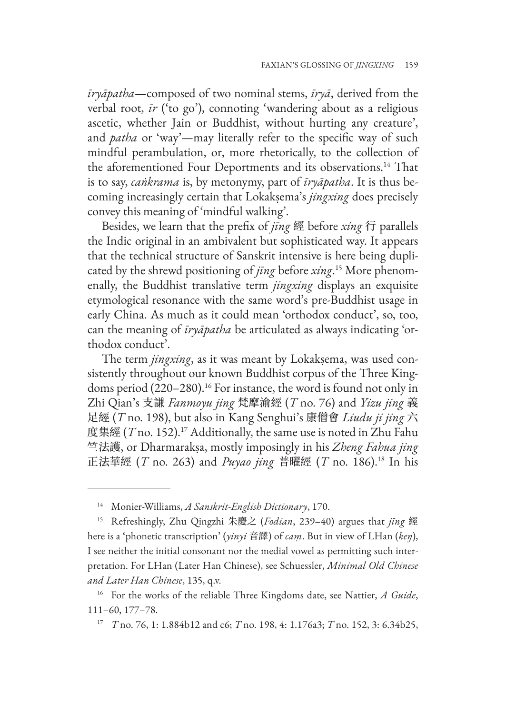*īryāpatha*—composed of two nominal stems, *īryā*, derived from the verbal root, *īr* ('to go'), connoting 'wandering about as a religious ascetic, whether Jain or Buddhist, without hurting any creature', and *patha* or 'way'—may literally refer to the specific way of such mindful perambulation, or, more rhetorically, to the collection of the aforementioned Four Deportments and its observations.<sup>14</sup> That is to say, *caṅkrama* is, by metonymy, part of *īryāpatha*. It is thus becoming increasingly certain that Lokakṣema's *jingxing* does precisely convey this meaning of 'mindful walking'.

Besides, we learn that the prefix of *jīng* 經 before *xíng* 行 parallels the Indic original in an ambivalent but sophisticated way. It appears that the technical structure of Sanskrit intensive is here being duplicated by the shrewd positioning of *jīng* before *xíng*. 15 More phenomenally, the Buddhist translative term *jingxing* displays an exquisite etymological resonance with the same word's pre-Buddhist usage in early China. As much as it could mean 'orthodox conduct', so, too, can the meaning of *īryāpatha* be articulated as always indicating 'orthodox conduct'.

The term *jingxing*, as it was meant by Lokakṣema, was used consistently throughout our known Buddhist corpus of the Three Kingdoms period (220–280).<sup>16</sup> For instance, the word is found not only in Zhi Qian's 支謙 *Fanmoyu jing* 梵摩渝經 (*T* no. 76) and *Yizu jing* 義 足經 (*T* no. 198), but also in Kang Senghui's 康僧會 *Liudu ji jing* 六 度集經 (*T* no. 152).<sup>17</sup> Additionally, the same use is noted in Zhu Fahu 竺法護, or Dharmarakṣa, mostly imposingly in his *Zheng Fahua jing* 正法華經 (*T* no. 263) and *Puyao jing* 普曜經 (*T* no. 186).18 In his

<sup>14</sup> Monier-Williams, *A Sanskrit-English Dictionary*, 170.

<sup>15</sup> Refreshingly, Zhu Qingzhi 朱慶之 (*Fodian*, 239–40) argues that *jīng* 經 here is a 'phonetic transcription' (*yinyi* 音譯) of *caṃ*. But in view of LHan (*keŋ*), I see neither the initial consonant nor the medial vowel as permitting such interpretation. For LHan (Later Han Chinese), see Schuessler, *Minimal Old Chinese and Later Han Chinese*, 135, q.v.

<sup>16</sup> For the works of the reliable Three Kingdoms date, see Nattier, *A Guide*, 111–60, 177–78.

<sup>17</sup> *T* no. 76, 1: 1.884b12 and c6; *T* no. 198, 4: 1.176a3; *T* no. 152, 3: 6.34b25,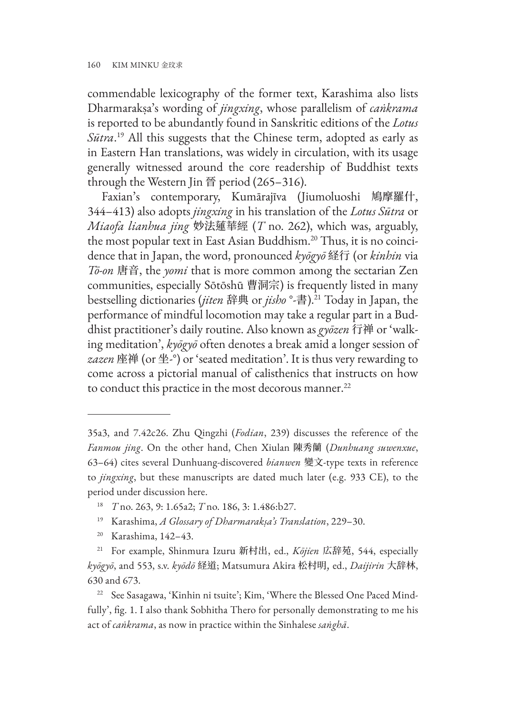commendable lexicography of the former text, Karashima also lists Dharmarakṣa's wording of *jingxing*, whose parallelism of *caṅkrama* is reported to be abundantly found in Sanskritic editions of the *Lotus Sūtra*. 19 All this suggests that the Chinese term, adopted as early as in Eastern Han translations, was widely in circulation, with its usage generally witnessed around the core readership of Buddhist texts through the Western Jin 晉 period (265–316).

Faxian's contemporary, Kumārajīva (Jiumoluoshi 鳩摩羅什, 344–413) also adopts *jingxing* in his translation of the *Lotus Sūtra* or *Miaofa lianhua jing* 妙法蓮華經 (*T* no. 262), which was, arguably, the most popular text in East Asian Buddhism.20 Thus, it is no coincidence that in Japan, the word, pronounced *kyōgyō* 経行 (or *kinhin* via *Tō-on* 唐音, the *yomi* that is more common among the sectarian Zen communities, especially Sōtōshū 曹洞宗) is frequently listed in many bestselling dictionaries (*jiten* 辞典 or *jisho* °-書).21 Today in Japan, the performance of mindful locomotion may take a regular part in a Buddhist practitioner's daily routine. Also known as *gyōzen* 行禅 or 'walking meditation', *kyōgyō* often denotes a break amid a longer session of *zazen* 座禅 (or 坐-°) or 'seated meditation'. It is thus very rewarding to come across a pictorial manual of calisthenics that instructs on how to conduct this practice in the most decorous manner.<sup>22</sup>

<sup>35</sup>a3, and 7.42c26. Zhu Qingzhi (*Fodian*, 239) discusses the reference of the *Fanmou jing*. On the other hand, Chen Xiulan 陳秀蘭 (*Dunhuang suwenxue*, 63–64) cites several Dunhuang-discovered *bianwen* 變文-type texts in reference to *jingxing*, but these manuscripts are dated much later (e.g. 933 CE), to the period under discussion here.

<sup>18</sup> *T* no. 263, 9: 1.65a2; *T* no. 186, 3: 1.486:b27.

<sup>19</sup> Karashima, *A Glossary of Dharmarakṣa's Translation*, 229–30.

<sup>20</sup> Karashima, 142–43.

<sup>21</sup> For example, Shinmura Izuru 新村出, ed., *Kōjien* 広辞苑, 544, especially *kyōgyō*, and 553, s.v. *kyōdō* 経道; Matsumura Akira 松村明, ed., *Daijirin* 大辞林, 630 and 673.

<sup>&</sup>lt;sup>22</sup> See Sasagawa, 'Kinhin ni tsuite'; Kim, 'Where the Blessed One Paced Mindfully', fig. 1. I also thank Sobhitha Thero for personally demonstrating to me his act of *caṅkrama*, as now in practice within the Sinhalese *saṅghā*.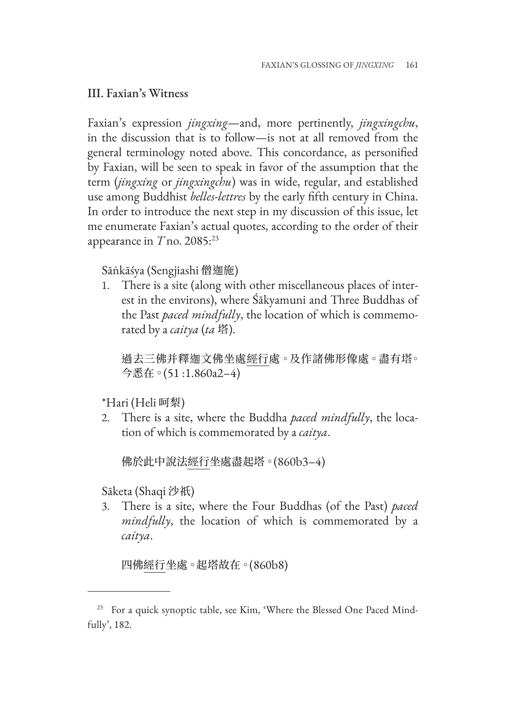#### III. Faxian's Witness

Faxian's expression *jingxing*—and, more pertinently, *jingxingchu*, in the discussion that is to follow—is not at all removed from the general terminology noted above. This concordance, as personified by Faxian, will be seen to speak in favor of the assumption that the term (*jingxing* or *jingxingchu*) was in wide, regular, and established use among Buddhist *belles-lettres* by the early fifth century in China. In order to introduce the next step in my discussion of this issue, let me enumerate Faxian's actual quotes, according to the order of their appearance in *T* no. 2085:23

### Sāṅkāśya (Sengjiashi 僧迦施)

1. There is a site (along with other miscellaneous places of interest in the environs), where Śākyamuni and Three Buddhas of the Past *paced mindfully*, the location of which is commemorated by a *caitya* (*ta* 塔).

過去三佛并釋迦文佛坐處經行處。及作諸佛形像處。盡有塔。 今悉在。(51 :1.860a2–4)

## \*Hari (Heli 呵梨)

2. There is a site, where the Buddha *paced mindfully*, the location of which is commemorated by a *caitya*.

佛於此中說法經行坐處盡起塔。(860b3–4)

Sāketa (Shaqi 沙祇)

3. There is a site, where the Four Buddhas (of the Past) *paced mindfully*, the location of which is commemorated by a *caitya*.

四佛經行坐處。起塔故在。(860b8)

<sup>&</sup>lt;sup>23</sup> For a quick synoptic table, see Kim, 'Where the Blessed One Paced Mindfully', 182.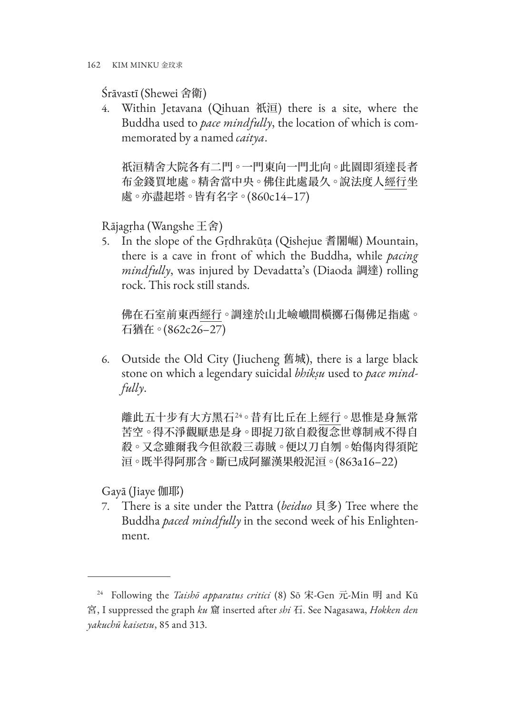Śrāvastī (Shewei 舍衛)

4. Within Jetavana (Qihuan 祇洹) there is a site, where the Buddha used to *pace mindfully*, the location of which is commemorated by a named *caitya*.

祇洹精舍大院各有二門。一門東向一門北向。此園即須達長者 布金錢買地處。精舍當中央。佛住此處最久。說法度人經行坐 處。亦盡起塔。皆有名字。(860c14–17)

Rājagṛha (Wangshe 王舍)

5. In the slope of the Gṛdhrakūṭa (Qishejue 耆闍崛) Mountain, there is a cave in front of which the Buddha, while *pacing mindfully*, was injured by Devadatta's (Diaoda 調達) rolling rock. This rock still stands.

佛在石室前東西經行。調達於山北嶮巇間橫擲石傷佛足指處。 石猶在。(862c26–27)

6. Outside the Old City (Jiucheng 舊城), there is a large black stone on which a legendary suicidal *bhikṣu* used to *pace mindfully*.

離此五十步有大方黑石<sup>24</sup>。昔有比丘在上<u>經行</u>。思惟是身無常 苦空。得不淨觀厭患是身。即捉刀欲自殺復念世尊制戒不得自 殺。又念雖爾我今但欲殺三毒賊。便以刀自刎。始傷肉得須陀 洹。既半得阿那含。斷已成阿羅漢果般泥洹。(863a16–22)

Gayā (Jiaye 伽耶)

7. There is a site under the Pattra (*beiduo* 貝多) Tree where the Buddha *paced mindfully* in the second week of his Enlightenment.

<sup>24</sup> Following the *Taishō apparatus critici* (8) Sō 宋-Gen 元-Min 明 and Kū 宮, I suppressed the graph *ku* 窟 inserted after *shi* 石. See Nagasawa, *Hokken den yakuchū kaisetsu*, 85 and 313.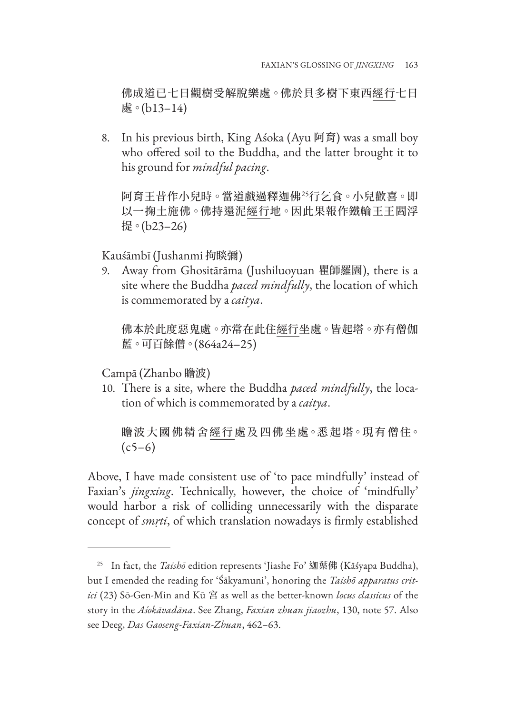佛成道已七日觀樹受解脫樂處。佛於貝多樹下東西經行七日 處。(b13–14)

8. In his previous birth, King Aśoka (Ayu 阿育) was a small boy who offered soil to the Buddha, and the latter brought it to his ground for *mindful pacing*.

阿育王昔作小兒時。當道戲過釋迦佛<sup>25</sup>行乞食。小兒歡喜。即 以一掬土施佛。佛持還泥經行地。因此果報作鐵輪王王閻浮 提。(b23–26)

Kauśāmbī (Jushanmi 拘睒彌)

9. Away from Ghositārāma (Jushiluoyuan 瞿師羅園), there is a site where the Buddha *paced mindfully*, the location of which is commemorated by a *caitya*.

佛本於此度惡鬼處。亦常在此住經行坐處。皆起塔。亦有僧伽 藍。可百餘僧。(864a24–25)

Campā (Zhanbo 瞻波)

10. There is a site, where the Buddha *paced mindfully*, the location of which is commemorated by a *caitya*.

瞻波大國佛精舍經行處及四佛坐處。悉起塔。現有僧住。  $(c5–6)$ 

Above, I have made consistent use of 'to pace mindfully' instead of Faxian's *jingxing*. Technically, however, the choice of 'mindfully' would harbor a risk of colliding unnecessarily with the disparate concept of *smṛti*, of which translation nowadays is firmly established

<sup>25</sup> In fact, the *Taishō* edition represents 'Jiashe Fo' 迦葉佛 (Kāśyapa Buddha), but I emended the reading for 'Śākyamuni', honoring the *Taishō apparatus critici* (23) Sō-Gen-Min and Kū 宮 as well as the better-known *locus classicus* of the story in the *Aśokāvadāna*. See Zhang, *Faxian zhuan jiaozhu*, 130, note 57. Also see Deeg, *Das Gaoseng-Faxian-Zhuan*, 462–63.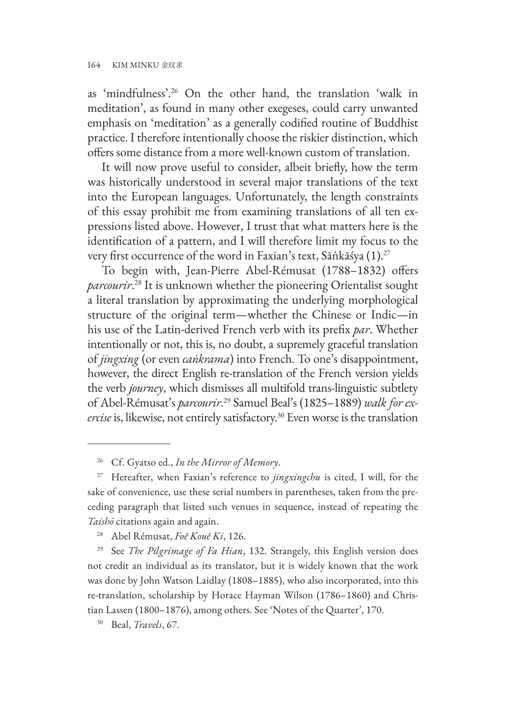as 'mindfulness'.26 On the other hand, the translation 'walk in meditation', as found in many other exegeses, could carry unwanted emphasis on 'meditation' as a generally codified routine of Buddhist practice. I therefore intentionally choose the riskier distinction, which offers some distance from a more well-known custom of translation.

It will now prove useful to consider, albeit briefly, how the term was historically understood in several major translations of the text into the European languages. Unfortunately, the length constraints of this essay prohibit me from examining translations of all ten expressions listed above. However, I trust that what matters here is the identification of a pattern, and I will therefore limit my focus to the very first occurrence of the word in Faxian's text, Sāṅkāśya (1).<sup>27</sup>

To begin with, Jean-Pierre Abel-Rémusat (1788–1832) offers *parcourir*. 28 It is unknown whether the pioneering Orientalist sought a literal translation by approximating the underlying morphological structure of the original term—whether the Chinese or Indic—in his use of the Latin-derived French verb with its prefix *par*. Whether intentionally or not, this is, no doubt, a supremely graceful translation of *jingxing* (or even *caṅkrama*) into French. To one's disappointment, however, the direct English re-translation of the French version yields the verb *journey*, which dismisses all multifold trans-linguistic subtlety of Abel-Rémusat's *parcourir*. 29 Samuel Beal's (1825–1889) *walk for exercise* is, likewise, not entirely satisfactory.30 Even worse is the translation

<sup>26</sup> Cf. Gyatso ed., *In the Mirror of Memory*.

<sup>27</sup> Hereafter, when Faxian's reference to *jingxingchu* is cited, I will, for the sake of convenience, use these serial numbers in parentheses, taken from the preceding paragraph that listed such venues in sequence, instead of repeating the *Taishō* citations again and again.

<sup>28</sup> Abel Rémusat, *Foĕ Kouĕ Ki*, 126.

<sup>29</sup> See *The Pilgrimage of Fa Hian*, 132. Strangely, this English version does not credit an individual as its translator, but it is widely known that the work was done by John Watson Laidlay (1808–1885), who also incorporated, into this re-translation, scholarship by Horace Hayman Wilson (1786–1860) and Christian Lassen (1800–1876), among others. See 'Notes of the Quarter', 170.

<sup>30</sup> Beal, *Travels*, 67.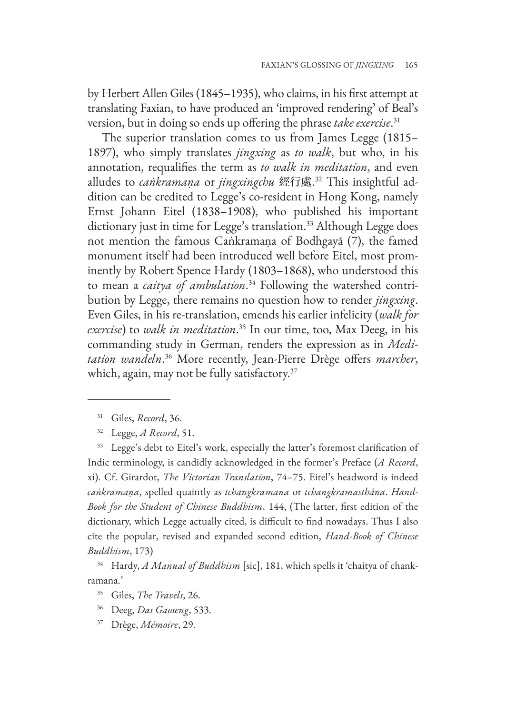by Herbert Allen Giles (1845–1935), who claims, in his first attempt at translating Faxian, to have produced an 'improved rendering' of Beal's version, but in doing so ends up offering the phrase *take exercise*. 31

The superior translation comes to us from James Legge (1815– 1897), who simply translates *jingxing* as *to walk*, but who, in his annotation, requalifies the term as *to walk in meditation*, and even alludes to *caṅkramaṇa* or *jingxingchu* 經行處. 32 This insightful addition can be credited to Legge's co-resident in Hong Kong, namely Ernst Johann Eitel (1838–1908), who published his important dictionary just in time for Legge's translation.<sup>33</sup> Although Legge does not mention the famous Caṅkramaṇa of Bodhgayā (7), the famed monument itself had been introduced well before Eitel, most prominently by Robert Spence Hardy (1803–1868), who understood this to mean a *caitya of ambulation*. 34 Following the watershed contribution by Legge, there remains no question how to render *jingxing*. Even Giles, in his re-translation, emends his earlier infelicity (*walk for exercise*) to *walk in meditation*. 35 In our time, too, Max Deeg, in his commanding study in German, renders the expression as in *Meditation wandeln*. 36 More recently, Jean-Pierre Drège offers *marcher*, which, again, may not be fully satisfactory.<sup>37</sup>

<sup>31</sup> Giles, *Record*, 36.

<sup>32</sup> Legge, *A Record*, 51.

<sup>&</sup>lt;sup>33</sup> Legge's debt to Eitel's work, especially the latter's foremost clarification of Indic terminology, is candidly acknowledged in the former's Preface (*A Record*, xi). Cf. Girardot, *The Victorian Translation*, 74–75. Eitel's headword is indeed *caṅkramaṇa*, spelled quaintly as *tchangkramana* or *tchangkramasthâna*. *Hand-Book for the Student of Chinese Buddhism*, 144, (The latter, first edition of the dictionary, which Legge actually cited, is difficult to find nowadays. Thus I also cite the popular, revised and expanded second edition, *Hand-Book of Chinese Buddhism*, 173)

<sup>34</sup> Hardy, *A Manual of Buddhism* [sic], 181, which spells it 'chaitya of chankramana.'

<sup>35</sup> Giles, *The Travels*, 26.

<sup>36</sup> Deeg, *Das Gaoseng*, 533.

<sup>37</sup> Drège, *Mémoire*, 29.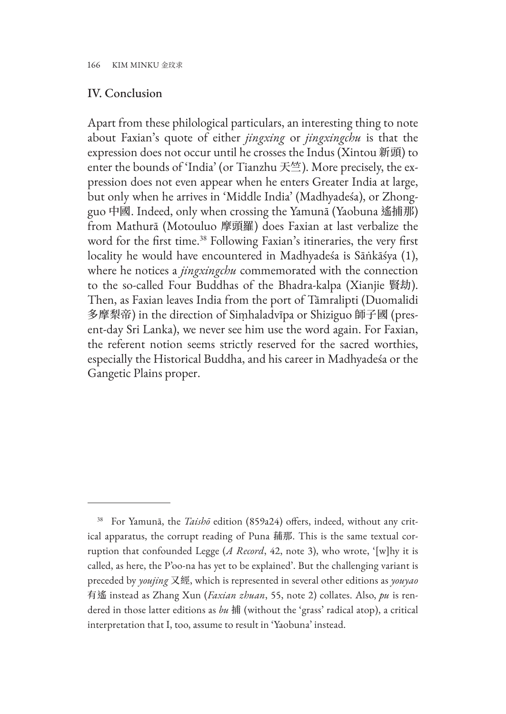#### IV. Conclusion

Apart from these philological particulars, an interesting thing to note about Faxian's quote of either *jingxing* or *jingxingchu* is that the expression does not occur until he crosses the Indus (Xintou 新頭) to enter the bounds of 'India' (or Tianzhu  $\mathcal{F}_{\mathcal{L}}^{\mathcal{L}}$ ). More precisely, the expression does not even appear when he enters Greater India at large, but only when he arrives in 'Middle India' (Madhyadeśa), or Zhongguo 中國. Indeed, only when crossing the Yamunā (Yaobuna 遙捕那) from Mathurā (Motouluo 摩頭羅) does Faxian at last verbalize the word for the first time.38 Following Faxian's itineraries, the very first locality he would have encountered in Madhyadeśa is Sāṅkāśya (1), where he notices a *jingxingchu* commemorated with the connection to the so-called Four Buddhas of the Bhadra-kalpa (Xianjie 賢劫). Then, as Faxian leaves India from the port of Tāmralipti (Duomalidi 多摩梨帝) in the direction of Siṃhaladvīpa or Shiziguo 師子國 (present-day Sri Lanka), we never see him use the word again. For Faxian, the referent notion seems strictly reserved for the sacred worthies, especially the Historical Buddha, and his career in Madhyadeśa or the Gangetic Plains proper.

<sup>38</sup> For Yamunā, the *Taishō* edition (859a24) offers, indeed, without any critical apparatus, the corrupt reading of Puna 蒱那. This is the same textual corruption that confounded Legge (*A Record*, 42, note 3), who wrote, '[w]hy it is called, as here, the P'oo-na has yet to be explained'. But the challenging variant is preceded by *youjing* 又經, which is represented in several other editions as *youyao* 有遙 instead as Zhang Xun (*Faxian zhuan*, 55, note 2) collates. Also, *pu* is rendered in those latter editions as *bu* 捕 (without the 'grass' radical atop), a critical interpretation that I, too, assume to result in 'Yaobuna' instead.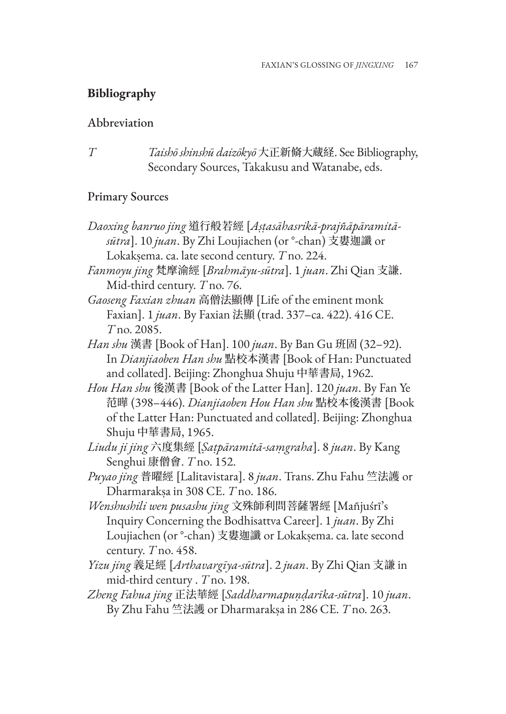## **Bibliography**

#### Abbreviation

*T Taishō shinshū daizōkyō* 大正新脩大蔵経. See Bibliography, Secondary Sources, Takakusu and Watanabe, eds.

#### Primary Sources

*Daoxing banruo jing* 道行般若經 [*Aṣṭasāhasrikā-prajñāpāramitāsūtra*]. 10 *juan*. By Zhi Loujiachen (or °-chan) 支婁迦讖 or Lokakṣema. ca. late second century. *T* no. 224.

*Fanmoyu jing* 梵摩渝經 [*Brahmāyu-sūtra*]. 1 *juan*. Zhi Qian 支謙. Mid-third century. *T* no. 76.

*Gaoseng Faxian zhuan* 高僧法顯傳 [Life of the eminent monk Faxian]. 1 *juan*. By Faxian 法顯 (trad. 337–ca. 422). 416 CE. *T* no. 2085.

*Han shu* 漢書 [Book of Han]. 100 *juan*. By Ban Gu 班固 (32–92). In *Dianjiaoben Han shu* 點校本漢書 [Book of Han: Punctuated and collated]. Beijing: Zhonghua Shuju 中華書局, 1962.

*Hou Han shu* 後漢書 [Book of the Latter Han]. 120 *juan*. By Fan Ye 范曄 (398–446). *Dianjiaoben Hou Han shu* 點校本後漢書 [Book of the Latter Han: Punctuated and collated]. Beijing: Zhonghua Shuju 中華書局, 1965.

*Liudu ji jing* 六度集經 [*Ṣaṭpāramitā-saṃgraha*]. 8 *juan*. By Kang Senghui 康僧會. *T* no. 152.

*Puyao jing* 普曜經 [Lalitavistara]. 8 *juan*. Trans. Zhu Fahu 竺法護 or Dharmarakṣa in 308 CE. *T* no. 186.

*Wenshushili wen pusashu jing* 文殊師利問菩薩署經 [Mañjuśrī's Inquiry Concerning the Bodhisattva Career]. 1 *juan*. By Zhi Loujiachen (or °-chan) 支婁迦讖 or Lokakṣema. ca. late second century. *T* no. 458.

*Yizu jing* 義足經 [*Arthavargīya-sūtra*]. 2 *juan*. By Zhi Qian 支謙 in mid-third century . *T* no. 198.

*Zheng Fahua jing* 正法華經 [*Saddharmapuṇḍarīka-sūtra*]. 10 *juan*. By Zhu Fahu 竺法護 or Dharmarakṣa in 286 CE. *T* no. 263.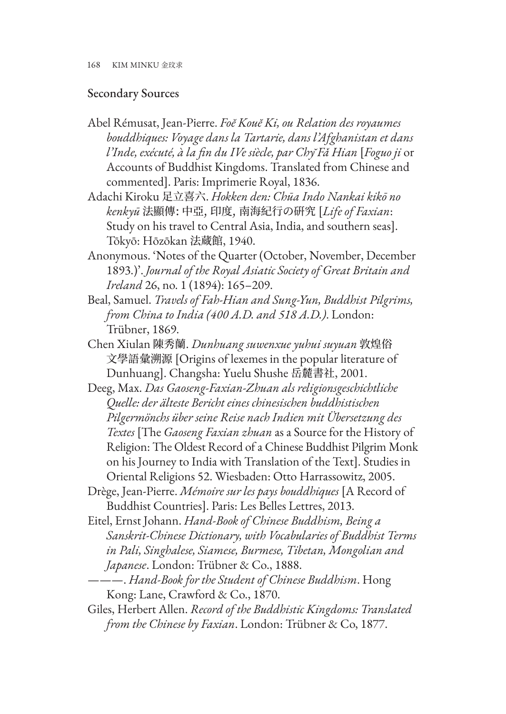#### Secondary Sources

- Abel Rémusat, Jean-Pierre. *Foĕ Kouĕ Ki, ou Relation des royaumes bouddhiques: Voyage dans la Tartarie, dans l'Afghanistan et dans l'Inde, exécuté, à la fin du IVe siècle, par Chy̆ Fǎ Hian* [*Foguo ji* or Accounts of Buddhist Kingdoms. Translated from Chinese and commented]. Paris: Imprimerie Royal, 1836.
- Adachi Kiroku 足立喜六. *Hokken den: Chūa Indo Nankai kikō no kenkyū* 法顯傳: 中亞, 印度, 南海紀行の硏究 [*Life of Faxian*: Study on his travel to Central Asia, India, and southern seas]. Tōkyō: Hōzōkan 法蔵館, 1940.
- Anonymous. 'Notes of the Quarter (October, November, December 1893.)'. *Journal of the Royal Asiatic Society of Great Britain and Ireland* 26, no. 1 (1894): 165–209.
- Beal, Samuel. *Travels of Fah-Hian and Sung-Yun, Buddhist Pilgrims, from China to India (400 A.D. and 518 A.D.)*. London: Trübner, 1869.
- Chen Xiulan 陳秀蘭. *Dunhuang suwenxue yuhui suyuan* 敦煌俗 文學語彙溯源 [Origins of lexemes in the popular literature of Dunhuang]. Changsha: Yuelu Shushe 岳麓書社, 2001.
- Deeg, Max. *Das Gaoseng-Faxian-Zhuan als religionsgeschichtliche Quelle: der älteste Bericht eines chinesischen buddhistischen Pilgermönchs über seine Reise nach Indien mit Übersetzung des Textes* [The *Gaoseng Faxian zhuan* as a Source for the History of Religion: The Oldest Record of a Chinese Buddhist Pilgrim Monk on his Journey to India with Translation of the Text]. Studies in Oriental Religions 52. Wiesbaden: Otto Harrassowitz, 2005.
- Drège, Jean-Pierre. *Mémoire sur les pays bouddhiques* [A Record of Buddhist Countries]. Paris: Les Belles Lettres, 2013.
- Eitel, Ernst Johann. *Hand-Book of Chinese Buddhism, Being a Sanskrit-Chinese Dictionary, with Vocabularies of Buddhist Terms in Pali, Singhalese, Siamese, Burmese, Tibetan, Mongolian and Japanese*. London: Trübner & Co., 1888.
- ———. *Hand-Book for the Student of Chinese Buddhism*. Hong Kong: Lane, Crawford & Co., 1870.
- Giles, Herbert Allen. *Record of the Buddhistic Kingdoms: Translated from the Chinese by Faxian*. London: Trübner & Co, 1877.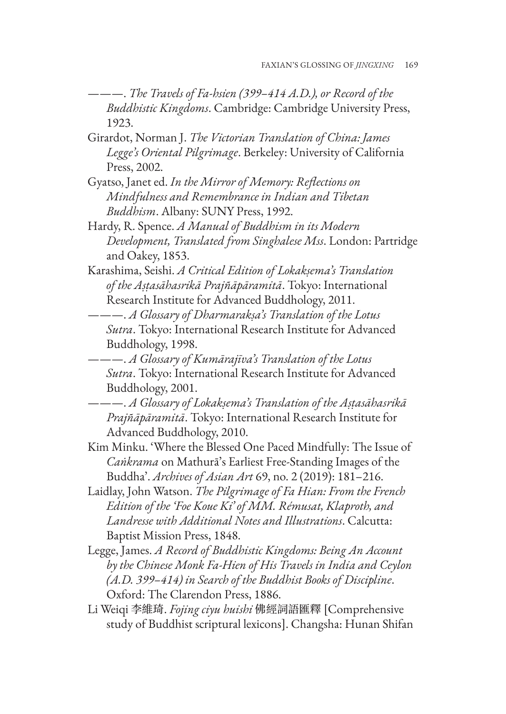- ———. *The Travels of Fa-hsien (399–414 A.D.), or Record of the Buddhistic Kingdoms*. Cambridge: Cambridge University Press, 1923.
- Girardot, Norman J. *The Victorian Translation of China: James Legge's Oriental Pilgrimage*. Berkeley: University of California Press, 2002.
- Gyatso, Janet ed. *In the Mirror of Memory: Reflections on Mindfulness and Remembrance in Indian and Tibetan Buddhism*. Albany: SUNY Press, 1992.
- Hardy, R. Spence. *A Manual of Buddhism in its Modern Development, Translated from Singhalese Mss*. London: Partridge and Oakey, 1853.
- Karashima, Seishi. *A Critical Edition of Lokakṣema's Translation of the Aṣṭasāhasrikā Prajñāpāramitā*. Tokyo: International Research Institute for Advanced Buddhology, 2011.
- ———. *A Glossary of Dharmarakṣa's Translation of the Lotus Sutra*. Tokyo: International Research Institute for Advanced Buddhology, 1998.
- ———. *A Glossary of Kumārajīva's Translation of the Lotus Sutra*. Tokyo: International Research Institute for Advanced Buddhology, 2001.
- ———. *A Glossary of Lokakṣema's Translation of the Aṣṭasāhasrikā Prajñāpāramitā*. Tokyo: International Research Institute for Advanced Buddhology, 2010.
- Kim Minku. 'Where the Blessed One Paced Mindfully: The Issue of *Caṅkrama* on Mathurā's Earliest Free-Standing Images of the Buddha'. *Archives of Asian Art* 69, no. 2 (2019): 181–216.
- Laidlay, John Watson. *The Pilgrimage of Fa Hian: From the French Edition of the 'Foe Koue Ki' of MM. Rémusat, Klaproth, and Landresse with Additional Notes and Illustrations*. Calcutta: Baptist Mission Press, 1848.
- Legge, James. *A Record of Buddhistic Kingdoms: Being An Account by the Chinese Monk Fa-Hien of His Travels in India and Ceylon (A.D. 399–414) in Search of the Buddhist Books of Discipline*. Oxford: The Clarendon Press, 1886.
- Li Weiqi 李維琦. *Fojing ciyu huishi* 佛經詞語匯釋 [Comprehensive study of Buddhist scriptural lexicons]. Changsha: Hunan Shifan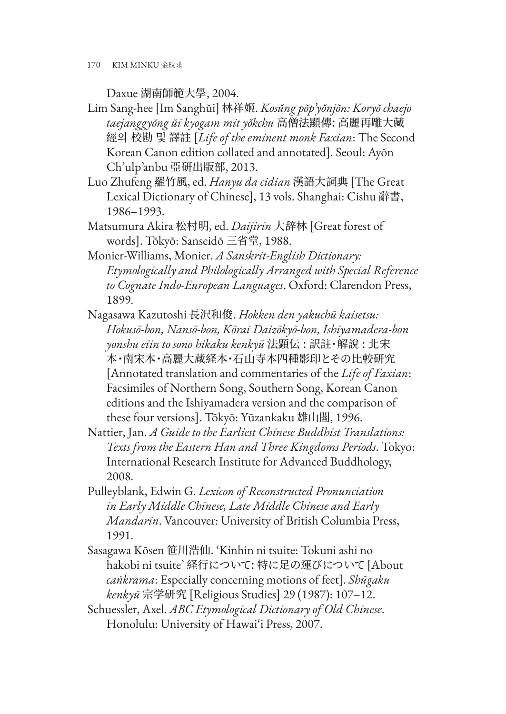170 KIM MINKU 金玟求

Daxue 湖南師範大學, 2004.

- Lim Sang-hee [Im Sanghŭi] 林祥姬. *Kosŭng pŏp'yŏnjŏn: Koryŏ chaejo taejanggyŏng ŭi kyogam mit yŏkchu* 高僧法顯傳: 高麗再雕大藏 經의 校勘 및 譯註 [*Life of the eminent monk Faxian*: The Second Korean Canon edition collated and annotated]. Seoul: Ayŏn Ch'ulp'anbu 亞研出版部, 2013.
- Luo Zhufeng 羅竹風, ed. *Hanyu da cidian* 漢語大詞典 [The Great Lexical Dictionary of Chinese], 13 vols. Shanghai: Cishu 辭書, 1986–1993.
- Matsumura Akira 松村明, ed. *Daijirin* 大辞林 [Great forest of words]. Tōkyō: Sanseidō 三省堂, 1988.
- Monier-Williams, Monier. *A Sanskrit-English Dictionary: Etymologically and Philologically Arranged with Special Reference to Cognate Indo-European Languages*. Oxford: Clarendon Press, 1899.
- Nagasawa Kazutoshi 長沢和俊. *Hokken den yakuchū kaisetsu: Hokusō-bon, Nansō-bon, Kōrai Daizōkyō-bon, Ishiyamadera-bon yonshu eiin to sono hikaku kenkyū* 法顕伝 : 訳註・解說 : 北宋 本・南宋本・高麗大蔵経本・石山寺本四種影印とその比較研究 [Annotated translation and commentaries of the *Life of Faxian*: Facsimiles of Northern Song, Southern Song, Korean Canon editions and the Ishiyamadera version and the comparison of these four versions]. Tōkyō: Yūzankaku 雄山閣, 1996.
- Nattier, Jan. *A Guide to the Earliest Chinese Buddhist Translations: Texts from the Eastern Han and Three Kingdoms Periods*. Tokyo: International Research Institute for Advanced Buddhology, 2008.
- Pulleyblank, Edwin G. *Lexicon of Reconstructed Pronunciation in Early Middle Chinese, Late Middle Chinese and Early Mandarin*. Vancouver: University of British Columbia Press, 1991.
- Sasagawa Kōsen 笹川浩仙. 'Kinhin ni tsuite: Tokuni ashi no hakobi ni tsuite' 経行について: 特に足の運びについて [About *caṅkrama*: Especially concerning motions of feet]. *Shūgaku kenkyū* 宗学研究 [Religious Studies] 29 (1987): 107–12.
- Schuessler, Axel. *ABC Etymological Dictionary of Old Chinese*. Honolulu: University of Hawai'i Press, 2007.